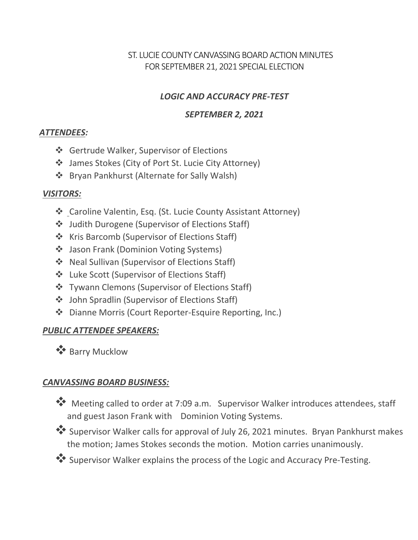## ST. LUCIE COUNTY CANVASSING BOARD ACTION MINUTES FOR SEPTEMBER 21, 2021 SPECIAL ELECTION

#### *LOGIC AND ACCURACY PRE-TEST*

#### *SEPTEMBER 2, 2021*

#### *ATTENDEES:*

- Gertrude Walker, Supervisor of Elections
- James Stokes (City of Port St. Lucie City Attorney)
- Bryan Pankhurst (Alternate for Sally Walsh)

## *VISITORS:*

- ❖ Caroline Valentin, Esq. (St. Lucie County Assistant Attorney)
- Judith Durogene (Supervisor of Elections Staff)
- ❖ Kris Barcomb (Supervisor of Elections Staff)
- ❖ Jason Frank (Dominion Voting Systems)
- ❖ Neal Sullivan (Supervisor of Elections Staff)
- Luke Scott (Supervisor of Elections Staff)
- ❖ Tywann Clemons (Supervisor of Elections Staff)
- John Spradlin (Supervisor of Elections Staff)
- Dianne Morris (Court Reporter-Esquire Reporting, Inc.)

# *PUBLIC ATTENDEE SPEAKERS:*

**<sup>◆</sup> Barry Mucklow** 

# *CANVASSING BOARD BUSINESS:*

- Meeting called to order at 7:09 a.m. Supervisor Walker introduces attendees, staff and guest Jason Frank with Dominion Voting Systems.
- Supervisor Walker calls for approval of July 26, 2021 minutes. Bryan Pankhurst makes the motion; James Stokes seconds the motion. Motion carries unanimously.
- Supervisor Walker explains the process of the Logic and Accuracy Pre-Testing.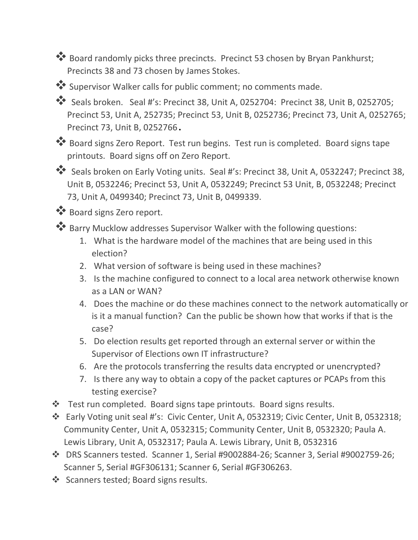Board randomly picks three precincts. Precinct 53 chosen by Bryan Pankhurst; Precincts 38 and 73 chosen by James Stokes.

Supervisor Walker calls for public comment; no comments made.

Seals broken. Seal #'s: Precinct 38, Unit A, 0252704: Precinct 38, Unit B, 0252705; Precinct 53, Unit A, 252735; Precinct 53, Unit B, 0252736; Precinct 73, Unit A, 0252765; Precinct 73, Unit B, 0252766.

\*\* Board signs Zero Report. Test run begins. Test run is completed. Board signs tape printouts. Board signs off on Zero Report.

 Seals broken on Early Voting units. Seal #'s: Precinct 38, Unit A, 0532247; Precinct 38, Unit B, 0532246; Precinct 53, Unit A, 0532249; Precinct 53 Unit, B, 0532248; Precinct 73, Unit A, 0499340; Precinct 73, Unit B, 0499339.

\*\* Board signs Zero report.

Barry Mucklow addresses Supervisor Walker with the following questions:

- 1. What is the hardware model of the machines that are being used in this election?
- 2. What version of software is being used in these machines?
- 3. Is the machine configured to connect to a local area network otherwise known as a LAN or WAN?
- 4. Does the machine or do these machines connect to the network automatically or is it a manual function? Can the public be shown how that works if that is the case?
- 5. Do election results get reported through an external server or within the Supervisor of Elections own IT infrastructure?
- 6. Are the protocols transferring the results data encrypted or unencrypted?
- 7. Is there any way to obtain a copy of the packet captures or PCAPs from this testing exercise?
- Test run completed. Board signs tape printouts. Board signs results.
- Early Voting unit seal #'s: Civic Center, Unit A, 0532319; Civic Center, Unit B, 0532318; Community Center, Unit A, 0532315; Community Center, Unit B, 0532320; Paula A. Lewis Library, Unit A, 0532317; Paula A. Lewis Library, Unit B, 0532316
- DRS Scanners tested. Scanner 1, Serial #9002884-26; Scanner 3, Serial #9002759-26; Scanner 5, Serial #GF306131; Scanner 6, Serial #GF306263.
- Scanners tested; Board signs results.